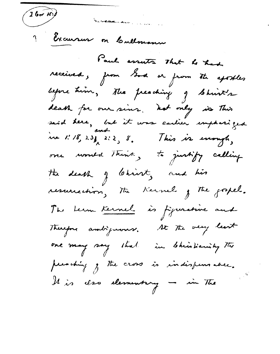$26 - M$ Walnut and more thanks 1 Excursion on Callmann Paul asserts That he had received, from God ar from the apostles before turn, The preaching of Christ's death for our sins. Not only in This said here, but it was earlier emphasized<br>in 1:18, 231, 2:2, 8. This is enough, one would Think, to justify calling the death of Christ, and his resurrection, the Kernel of the gospel. The Lerm Kernel is figurative and Therefore ambiguoness. At the very least one may say that in bhistianity the preaching of the cross is indispensable. Il is deso elementary - in The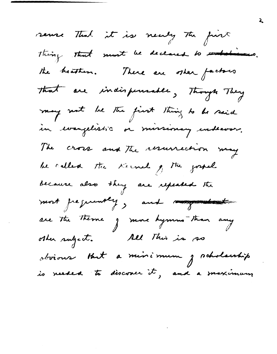sense That it is nearly the first Thing that must be declared to introduces. the heather. There are other factors that are indispensable, Though They may not be the first thing to be said in wangelistic or missionary undeavor. The cross and The resurrection may be called the Kernel of the gospel because also they are repeated the most prépriently, and my tente are the therme of more bymms than any obvious that a minimum y scholauship is needed to discover it, and a maximum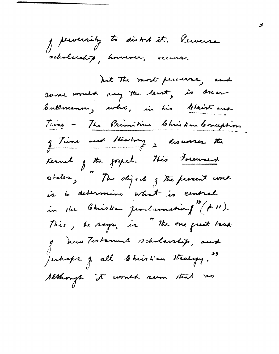y perversity to district. Perverse scholarship, however, vecurs.

donc would very the least, is broam bullmann, who, in his blaint and Time - The Primitive Christian Conception of Time mud thatry as worses the Kernel je the gospel. This Foreward states, " The object of the present work is to determine what is central in the Chistian proclamations (p. 11). This, he says, is " the one great task of hew Testament scholarship, and Jerhaps je all le historien Theology." Although it would seem that no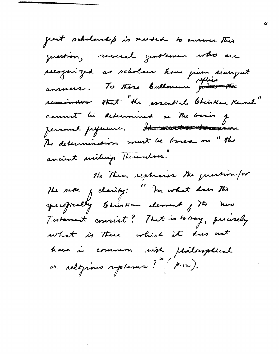great solutarship is needed to answer this question, reveral gentlemen who are recognized as scholars have pium divergent reservation that "the essential Christian Kennel" commet be determined on the boxis of The determinations must be based on " the ancient mintengo Themselves. The Then rephasis the prestion-for The sake y clarity: " In what does The specifically tohission element of the new Testament consist? That is to say, precisely what is there which it does not have in common with philosophical or religious systems? (p.12).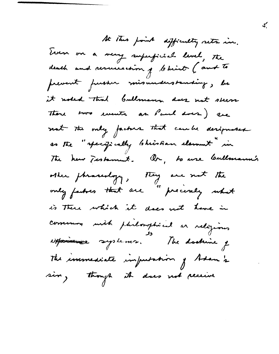At this point difficulty sets in. Even on a very superficial level, the prevent pursue misunderstanding, be it noted that bullmann does not seen There two events as Paul Loes) are not the only factors that can be designated as the "specifically bhistian element in The here Testament. Ar, to use Culturann's other phraseology, They are not the is there which it does not have in common mich philosophical ar religious improvement . The dockine of the immediate imputation of Adam's sin, though it does not receive

ぐ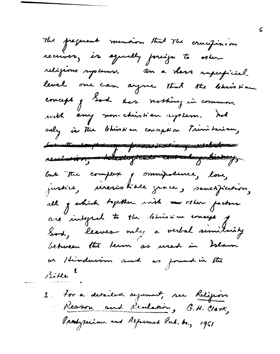the preguent mention that The crucifixion receiver, is squally foreign to oster religious systems. On a shers superficial level one can argue that the tokission concept of Sod has nothing in common with any non-chistian system. hot only is the Chistian conception Trinitarian, La continuation de complex de la grande de la constitución de la constitución de la constitución de la constitución de la constitución de la constitución de la constitución de la constitución de la constitución de la const but the complex ominipolence, love, justice, mesistible grace, sanctification, all y which together with me other facture are integral to the Chrissian concept of Sod, leaves only a verbal similarity between the leurn as used in Islam ar / tinducion and as found in the Bitee 2. For a detailed agrement, see Religions Reason and Revelation, G. H. Clark, Presbyzerian and Reformed Pub. bo., 1961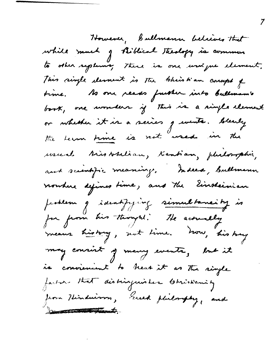However, Ballmann believes that while much of Biblical Theology is commun to other replining there is one usique element. This single element is the Christian concept of time. As one reads further into bullmanis book, one wonders if this is a single element or whether it is a series greente. blearly the term time is not "used in the usued Missoselian, Kantian, philosophie, and scientific meanings, Indeed, bullmenn nouhur défines time, and the Einsteinian problem g identifying simultaneity is for from his thought . He advancely means history, suit time. Now, his try may consist y many events, but it is convienient to treat it as the single facture that distinguisher Christianity from Hinduism, Greek philosophy, and **Processing County**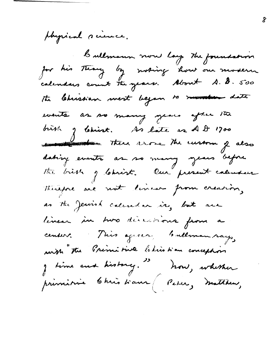physical science. Callmann now lay the foundation for his Theory by moding how our modern the Christian mest began to monter date events as so many years often the birst of Christ. As late as A & 1700 the custom of also dating events as so many years before the birth of lobrist. Our present calcular Therefore are not linear from creation, as the Jewish calcular is, but are linear in two directions from a center. This opera ballman rays with the Primitive latinshim conception I time and history. "I how, whether primière 6 mis sians (Peter, matthew,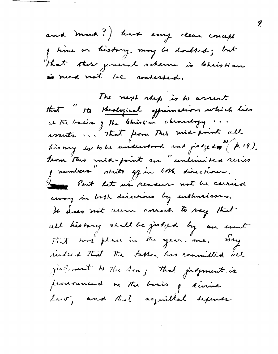and mark?) had any clear concept I time or history may be doubted; but that this general soheme is Christian is need not be contested.

The next step is to assert at the basis of the Christian chronology .. assists ... "That from This mid-point all. tiesting is to be understood and judged of (p. 19). Trom This mid-point an "unlimited series j'members stats je in both directions. But let us readers not be carried away in both directions by enchusiasms. It does not seem correct to say that all history shall be judged by an invent That was place in the year-one. Hay indeed that the tasker has committed all judgement to the Son; that judgment is provenanced on the basis of divine Law, and that acquittal depense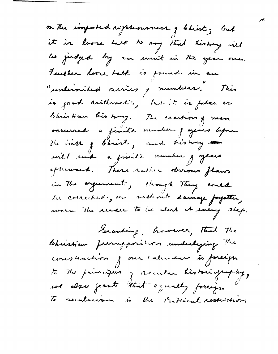$\langle \bullet \rangle$ 

 $\bullet$ 

ł,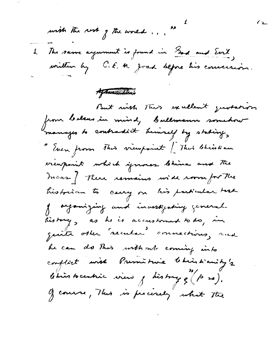wish the rest of the world ...

1. The same argument is found in East and Evil,<br>written by C.E. M. Joak before his connersion.

۔ وو

Afternathis

But with This excellent justation from balans in mind, ballmann somehow manages to contradict turnself by stating, " Even from This viewpoint ! This Christian creupoint which ignores bhina and the maus / There remains wide room for the historian to carry on his particular task Je arganizing and investigating general. history, as he is accustomed to do, in quite other secular connections, and he can do This with not coming into conflict with Premieture Christianity's Chin tocentric view f history g (p 20). of course, This is precisely what the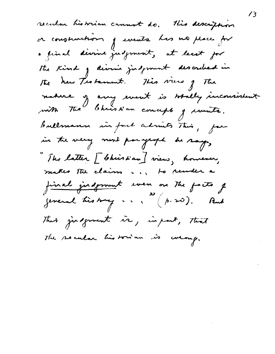secular historian cannot do. This description or construction of events has no place for a final divine judgment, at least for The Kind of divine judgment described in The her Testament. This view of The mature y any event is whely inconsistent Ballmann in fact admits This, for in the very next paragraph he says " The latter [ Christian ] view, however, makes the claims ... to render a final judgment even on the facts of general tissang ... (p. 20). And This judgement is, in part, that The secular historian is wrong.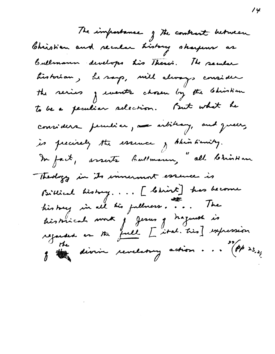The importance of the contract between Christian and recular history sharpens as bullmann develops his Theri. The secular historian, he says, will always consider the reviews of events chosen by the Christian to be a peculiar selection. But what he considers peculier, me astitrary, and queens is precisely the essence , this timity. In fact, arreste bullmann, "all brission Theology in its immerment essence is Billical history.... [ Christ] has become history in all his fullness. ... The histoical norte j' Jesus y traguest is<br>regarded es tre full [ ital. très] expression I ainin revelating action... "(PP 23.21

ノメ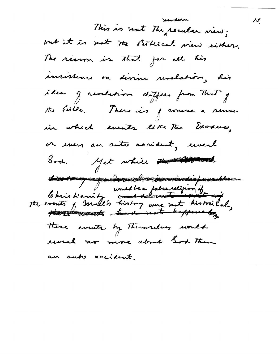mortern This is not The recular view; but it is not the Biblical view either. The reason is that for all his insistence on divine revelation, his idea y revelation differs from That of the Bible, There is j'avuse a sense in which events like the Exodus, or usen an anto accident, reveal Sod. Yet while the distance démand procedure individualement these events by Themselves would reveal no more about Soot Than

べ

an auto accident.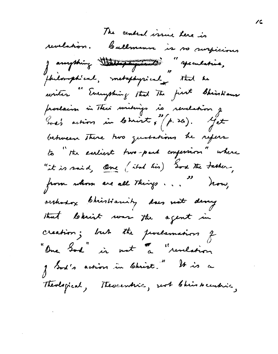The central issue here is revelation. Cullmann is no surpicious Janything There procedures, philosophical, metaphysical that he writes Everything that The first Bhistians proclaim in Their writings is revelation of Lod's action in Christ, (p. 26). Get between there two gustations he refers to " The earliest two-part confersion" where "it is said, One (ital his) Sod The tasker, from whom are all things ... "how, orshodox Christianity days not deny that learnist was the agent in creation; but the proclamation of One God in not a "revelation f Sod's action in Christ." It is a Theological, Theocentric, not bein securic,

/C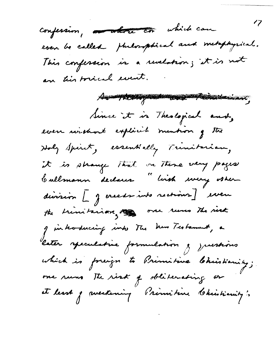confession, <del>a aborse con</del> which can even be called philosophical and metaphysical. This confession is a revelation; it is not an his brical event.

A many terms of the standard particular and Since it is Theological and, even wishout explicit mention of the Holy Spirit, essentially Trinitarian, it is strange that on these very pages Callmann declares "loish wery osher division [ g creeds into sections] even the trinitarian, and runs the risk I introducing into The her Testament, a Cater speculative formulation y questions which is foreign to Primitive Christianity; one runs the risk of obliterating or at least y avectening Primitive Christianity's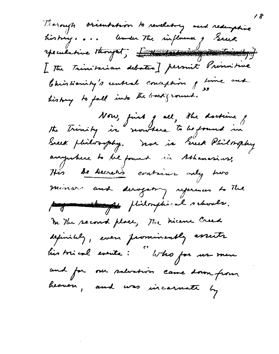Therough orientation to revelating and redungtive tristing... Under The influence , Seuch reculative thought, Ettertation of the land of f [ The Trinitarian debates] permit Primitive Christianity's central conception of time one history to fall into the background. Now, find g all, the doction of<br>The Trinity in nowhere to be found in Seek philosophy. nor is breek Philosophy anywhere to be found in Ashanasius. His de secrets contains only two minar and derogating references to The payment philosophical schools. In The second place, The hicene Creed definitely, even prominently assests lier trienle evente : " lotes for us men and for our salvation came down from heaven, and was incarnate by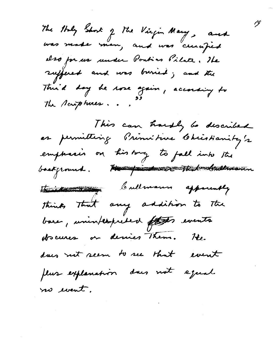The they Sant of The Virgin Mary, and elso pr us under Ponties Pilate. He suffered and was buried; and the Thin'd day he were gain, according to The *Neriphones.* This can hardly be described as permitting Primitive Christianity's emphasis on history to fall into the background. Huse printer a think doubtward. this the mann apparently thinks that any addition to the bare, uninferguered fato events docures on dernies Them. He. dues not seem to see that event

flus explanation does not equal. no event.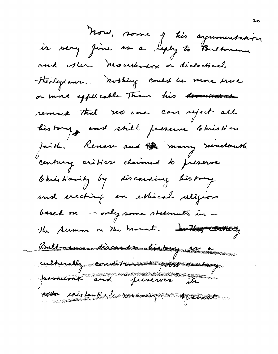Now, some y lis argumentation and other heverthodox or dialectical. Hésbopians. Nothing could be more true or more applicable Than his tomostate remain That we one can reject all. history and skill preserve Christian faith. Renan and the many nemeternth contany critics claimed to preserve Christianity by discarding history and erecting an estimal religion based on - only some statements in the Sermon on the mount. And they worked Bultonsmundia and demonstriatory at a culturally conditions prost contrary presences it framework and the usualist maning period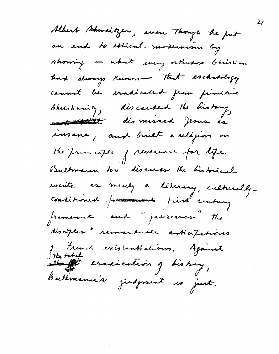Albert Pohnneitzer, even Though he put an end to estimal modernism by showing - what every orthodox lettistian had always Known - That eschatchofy comment be conadicated from primisive bheistianitz, discussed the history, insanc, and brust a religion on The principle of reverse for life. Bultmann too discours the historical. events as merely a literary, culturallyconditioned from the first century framework and preserves the disciples demandante auticipations I French existentialism. Against<br>Itte total eradication y bistory, ballmenn's judgment is just.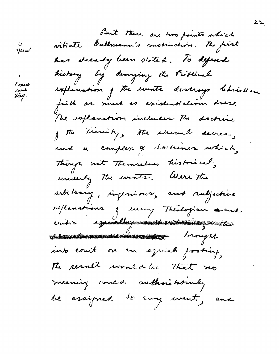But these are two points which<br>witiste bullmann's constituenon. The first has dready been stated. To defend tristary by denying the Biblical explanation of the events destroys Christian faith as much as existentialerm does. The explanation inclusive the doctrine y the bremity, the exempt decree, and a complex of doctumer which Though not Themselves historical, unsuly the events, Were the artitrary, inferious, and ruljective explanations of every Theologian saud. critic expenditions de militaire ribbonnettimmentet de de la découvert de la partie de la partie de la partie de la partie de la partie de la p into court on an equal footing, The result would be that no meaning conect authoritatively be assigned to any went, and

{ nyark مكسنعد try.

 $\mathcal{C}^{\mathcal{C}}$  . **x/lam/**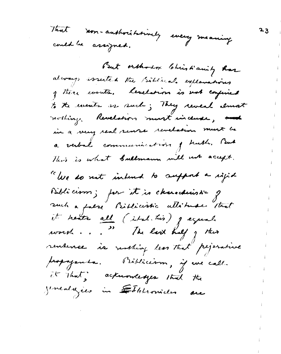That non-authoritatively every meaning could be assigned.

But orthodox Christianity has always esserted the Biblical explanations of there events. Levelstrom is not confined to the events are such ; They reveal almost seviking, Revelation must include, and in a way real rense revelation must be a verbal communication y turbe. But This is what bullmann will not accept. "We do not intend to support a rigid Biblicism; for it is characterissing of it heats all (ital. his) gegund.<br>worth... " The last half g this rentence is nothing less that pejorative propaganta. Priblicism, if we call. it that, acknowledges that the geneallysies in Etbleronister are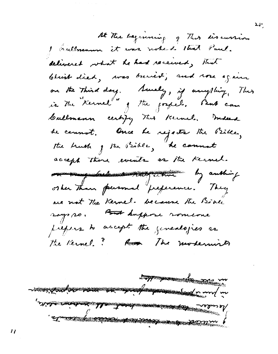At The beginning of This discussion I Cultmann it was noted that Paul. delivered what he had received, That bluist died, was buried; and wore again on the Third day. Sunally, if anything, This<br>is the "Kernel" of the gospel. But can Callmann certify this Kernel. means he cannot. Once he rejects the brillen, the trush of the Bible, he connot accept there events as the Kernel. en mangandanders and day authing osker Than personal preference. They we not the Kernel. because the Birke says so. And duppose someone prepers to accept the jementagies as the Kernel. "Rose the modernists

**SUPERING THE PARTIES** the subsequent to the second state of the second state of the second state of the second state of the second state of the second state of the second state of the second state of the second state of the second state of the **CONTRACT CONTRACT AND STRAIGHTER** <u> A Serra Manjeriya da ga masar Alay</u>

י י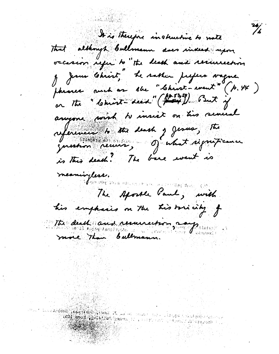It is Therefore in shuching to note That although Cullmann does include upon occasion refer to the heath and resurrection Je Jesus Christ, Le sather prefers vagne phranes avech as the "Christ-went" (p. 44) on the " lomint - dead" (from But if anyone wish to unsist on his several references to the death y Jerus, The guestion recever, of what significance is This death . The bare went is meaningless. The Aposte Paul, with this emphasis on the historicity of The death and resurrection, and presses

န်**ငံ () နိုင်ငံများ မြန်မာနိုင်ငံ (မိုင်း) များ (**မိုင်း) နိုင်ငံ (မိုင်း) မိုင်း) မိုင်း (မိုင်း) မိုင်း (မိုင်း) မိုင်း (မိုင်း) မိုင်း (မိုင်း) မိုင်း (မိုင်း) မိုင်း (မိုင်း) မိုင်း (မိုင်း) မိုင်း (မိုင်း) မိုင်း (မ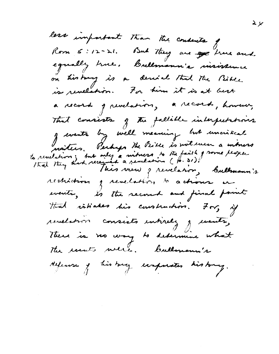lass important Than The conducts of the and.<br>Room 5: 12-21. But They are good true and. equally true. Bullmann's insistence on history is a derival that the Bible is revelation. For home it is at best a record grevelation, a record, however, That consists of the fallable interpretations g events by well meaning but unoinceal .<br>Inviters, Perhaps the Bible is not used a witness to revelation; but only a mitness to the faith of rome people.<br>That they had received a revelation (P. 31) . Cullmann's restriction y revelation to actions in events, is the record and final point that intickes his construction. For, if revelation consists intirely y ments, there is no way to determine what The routs were. Callmann's defense y history ecorporates history.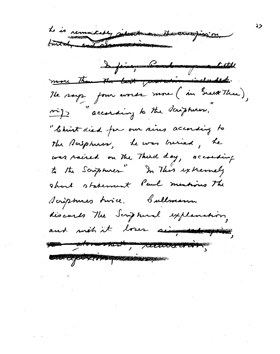Le is remainder subscribement de conservation andere faire mount and mongolar butter more than the last provision included He says four worse more (in Sieux Thee), miz: "according to the Toujohness. " Christ died for our sins according to the Paspheres, he was buried, he was raised on the Third day, according to the Scriptures" In This extremely short statement Paul mentions the Scriptures troice. Callmann discords the Scriptural explanation, and with it loves simpationspring portore mit paradicipal **EXPERIMENTAL PROPERTY AND RESIDENCE**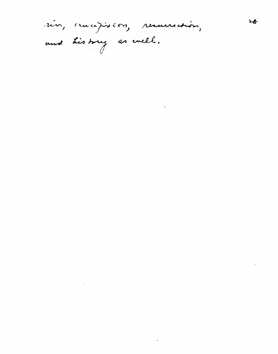sin, crucifixion, resurrection, and history as well.

ንኇ

 $\label{eq:2.1} \frac{1}{\sqrt{2\pi}}\int_{\mathbb{R}^3}\frac{d\mu}{\sqrt{2\pi}}\left(\frac{d\mu}{\mu}\right)^2\frac{d\mu}{\sqrt{2\pi}}\frac{d\mu}{\sqrt{2\pi}}\frac{d\mu}{\sqrt{2\pi}}\frac{d\mu}{\sqrt{2\pi}}\frac{d\mu}{\sqrt{2\pi}}\frac{d\mu}{\sqrt{2\pi}}\frac{d\mu}{\sqrt{2\pi}}\frac{d\mu}{\sqrt{2\pi}}\frac{d\mu}{\sqrt{2\pi}}\frac{d\mu}{\sqrt{2\pi}}\frac{d\mu}{\sqrt{2\pi}}\frac{d\$ 

 $\label{eq:2.1} \frac{1}{\sqrt{2}}\int_{0}^{\infty}\frac{1}{\sqrt{2\pi}}\left(\frac{1}{\sqrt{2\pi}}\right)^{2}d\mu\left(\frac{1}{\sqrt{2\pi}}\right)\frac{d\mu}{d\mu}d\mu\left(\frac{1}{\sqrt{2\pi}}\right).$ 

 $\mathcal{L}^{\text{max}}_{\text{max}}$  , where  $\mathcal{L}^{\text{max}}_{\text{max}}$